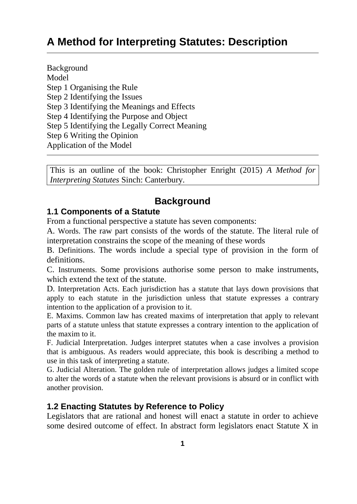# **A Method for Interpreting Statutes: Description**

Background Model Step 1 Organising the Rule Step 2 Identifying the Issues Step 3 Identifying the Meanings and Effects Step 4 Identifying the Purpose and Object Step 5 Identifying the Legally Correct Meaning Step 6 Writing the Opinion Application of the Model

This is an outline of the book: Christopher Enright (2015) *A Method for Interpreting Statutes* Sinch: Canterbury.

## **Background**

### **1.1 Components of a Statute**

From a functional perspective a statute has seven components:

A. Words. The raw part consists of the words of the statute. The literal rule of interpretation constrains the scope of the meaning of these words

B. Definitions. The words include a special type of provision in the form of definitions.

C. Instruments. Some provisions authorise some person to make instruments, which extend the text of the statute.

D. Interpretation Acts. Each jurisdiction has a statute that lays down provisions that apply to each statute in the jurisdiction unless that statute expresses a contrary intention to the application of a provision to it.

E. Maxims. Common law has created maxims of interpretation that apply to relevant parts of a statute unless that statute expresses a contrary intention to the application of the maxim to it.

F. Judicial Interpretation. Judges interpret statutes when a case involves a provision that is ambiguous. As readers would appreciate, this book is describing a method to use in this task of interpreting a statute.

G. Judicial Alteration. The golden rule of interpretation allows judges a limited scope to alter the words of a statute when the relevant provisions is absurd or in conflict with another provision.

### **1.2 Enacting Statutes by Reference to Policy**

Legislators that are rational and honest will enact a statute in order to achieve some desired outcome of effect. In abstract form legislators enact Statute X in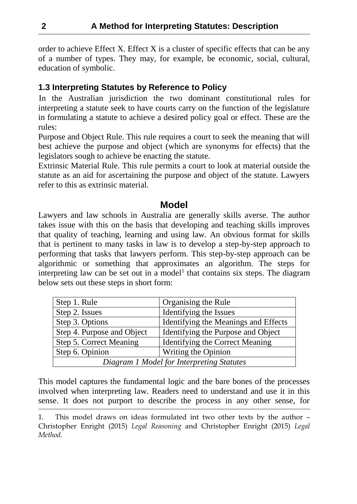order to achieve Effect X. Effect X is a cluster of specific effects that can be any of a number of types. They may, for example, be economic, social, cultural, education of symbolic.

### **1.3 Interpreting Statutes by Reference to Policy**

In the Australian jurisdiction the two dominant constitutional rules for interpreting a statute seek to have courts carry on the function of the legislature in formulating a statute to achieve a desired policy goal or effect. These are the rules:

Purpose and Object Rule. This rule requires a court to seek the meaning that will best achieve the purpose and object (which are synonyms for effects) that the legislators sough to achieve be enacting the statute.

Extrinsic Material Rule. This rule permits a court to look at material outside the statute as an aid for ascertaining the purpose and object of the statute. Lawyers refer to this as extrinsic material.

### **Model**

Lawyers and law schools in Australia are generally skills averse. The author takes issue with this on the basis that developing and teaching skills improves that quality of teaching, learning and using law. An obvious format for skills that is pertinent to many tasks in law is to develop a step-by-step approach to performing that tasks that lawyers perform. This step-by-step approach can be algorithmic or something that approximates an algorithm. The steps for interpreting law can be set out in a model<sup>1</sup> that contains six steps. The diagram below sets out these steps in short form:

| Step 1. Rule                              | Organising the Rule                  |  |  |  |
|-------------------------------------------|--------------------------------------|--|--|--|
| Step 2. Issues                            | Identifying the Issues               |  |  |  |
| Step 3. Options                           | Identifying the Meanings and Effects |  |  |  |
| Step 4. Purpose and Object                | Identifying the Purpose and Object   |  |  |  |
| Step 5. Correct Meaning                   | Identifying the Correct Meaning      |  |  |  |
| Step 6. Opinion                           | Writing the Opinion                  |  |  |  |
| Diagram 1 Model for Interpreting Statutes |                                      |  |  |  |

This model captures the fundamental logic and the bare bones of the processes involved when interpreting law. Readers need to understand and use it in this sense. It does not purport to describe the process in any other sense, for

<sup>1.</sup> This model draws on ideas formulated int two other texts by the author – Christopher Enright (2015) *Legal Reasoning* and Christopher Enright (2015) *Legal Method.*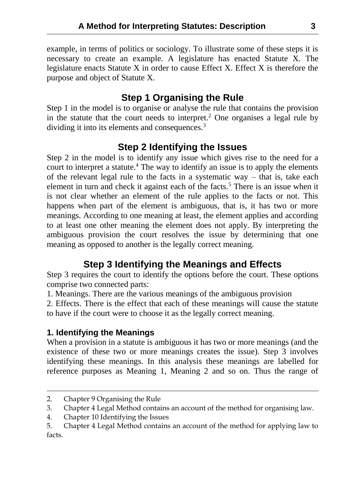example, in terms of politics or sociology. To illustrate some of these steps it is necessary to create an example. A legislature has enacted Statute X. The legislature enacts Statute X in order to cause Effect X. Effect X is therefore the purpose and object of Statute X.

## **Step 1 Organising the Rule**

Step 1 in the model is to organise or analyse the rule that contains the provision in the statute that the court needs to interpret.<sup>2</sup> One organises a legal rule by dividing it into its elements and consequences.<sup>3</sup>

### **Step 2 Identifying the Issues**

Step 2 in the model is to identify any issue which gives rise to the need for a court to interpret a statute.<sup>4</sup> The way to identify an issue is to apply the elements of the relevant legal rule to the facts in a systematic way – that is, take each element in turn and check it against each of the facts.<sup>5</sup> There is an issue when it is not clear whether an element of the rule applies to the facts or not. This happens when part of the element is ambiguous, that is, it has two or more meanings. According to one meaning at least, the element applies and according to at least one other meaning the element does not apply. By interpreting the ambiguous provision the court resolves the issue by determining that one meaning as opposed to another is the legally correct meaning.

## **Step 3 Identifying the Meanings and Effects**

Step 3 requires the court to identify the options before the court. These options comprise two connected parts:

1. Meanings. There are the various meanings of the ambiguous provision

2. Effects. There is the effect that each of these meanings will cause the statute to have if the court were to choose it as the legally correct meaning.

### **1. Identifying the Meanings**

When a provision in a statute is ambiguous it has two or more meanings (and the existence of these two or more meanings creates the issue). Step 3 involves identifying these meanings. In this analysis these meanings are labelled for reference purposes as Meaning 1, Meaning 2 and so on. Thus the range of

<sup>2.</sup> Chapter 9 Organising the Rule

<sup>3.</sup> Chapter 4 Legal Method contains an account of the method for organising law.

<sup>4.</sup> Chapter 10 Identifying the Issues

<sup>5.</sup> Chapter 4 Legal Method contains an account of the method for applying law to facts.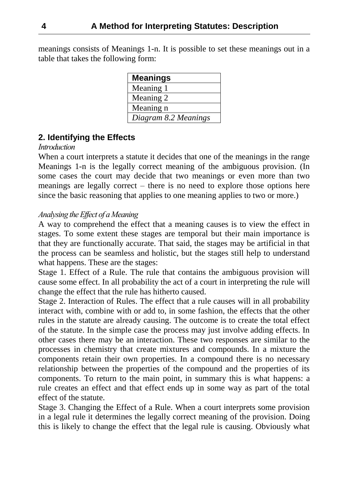meanings consists of Meanings 1-n. It is possible to set these meanings out in a table that takes the following form:

| <b>Meanings</b>      |
|----------------------|
| Meaning 1            |
| Meaning 2            |
| Meaning n            |
| Diagram 8.2 Meanings |

### **2. Identifying the Effects**

#### *Introduction*

When a court interprets a statute it decides that one of the meanings in the range Meanings 1-n is the legally correct meaning of the ambiguous provision. (In some cases the court may decide that two meanings or even more than two meanings are legally correct – there is no need to explore those options here since the basic reasoning that applies to one meaning applies to two or more.)

#### *Analysing the Effect of a Meaning*

A way to comprehend the effect that a meaning causes is to view the effect in stages. To some extent these stages are temporal but their main importance is that they are functionally accurate. That said, the stages may be artificial in that the process can be seamless and holistic, but the stages still help to understand what happens. These are the stages:

Stage 1. Effect of a Rule. The rule that contains the ambiguous provision will cause some effect. In all probability the act of a court in interpreting the rule will change the effect that the rule has hitherto caused.

Stage 2. Interaction of Rules. The effect that a rule causes will in all probability interact with, combine with or add to, in some fashion, the effects that the other rules in the statute are already causing. The outcome is to create the total effect of the statute. In the simple case the process may just involve adding effects. In other cases there may be an interaction. These two responses are similar to the processes in chemistry that create mixtures and compounds. In a mixture the components retain their own properties. In a compound there is no necessary relationship between the properties of the compound and the properties of its components. To return to the main point, in summary this is what happens: a rule creates an effect and that effect ends up in some way as part of the total effect of the statute.

Stage 3. Changing the Effect of a Rule. When a court interprets some provision in a legal rule it determines the legally correct meaning of the provision. Doing this is likely to change the effect that the legal rule is causing. Obviously what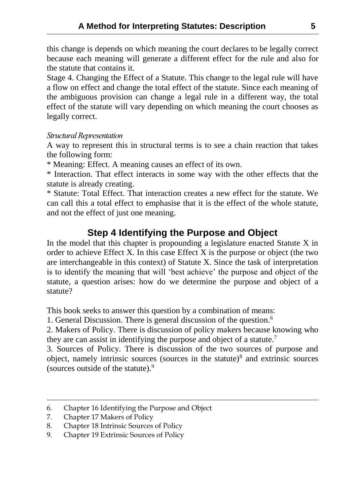this change is depends on which meaning the court declares to be legally correct because each meaning will generate a different effect for the rule and also for the statute that contains it.

Stage 4. Changing the Effect of a Statute. This change to the legal rule will have a flow on effect and change the total effect of the statute. Since each meaning of the ambiguous provision can change a legal rule in a different way, the total effect of the statute will vary depending on which meaning the court chooses as legally correct.

#### *Structural Representation*

A way to represent this in structural terms is to see a chain reaction that takes the following form:

\* Meaning: Effect. A meaning causes an effect of its own.

\* Interaction. That effect interacts in some way with the other effects that the statute is already creating.

\* Statute: Total Effect. That interaction creates a new effect for the statute. We can call this a total effect to emphasise that it is the effect of the whole statute, and not the effect of just one meaning.

## **Step 4 Identifying the Purpose and Object**

In the model that this chapter is propounding a legislature enacted Statute X in order to achieve Effect X. In this case Effect X is the purpose or object (the two are interchangeable in this context) of Statute X. Since the task of interpretation is to identify the meaning that will 'best achieve' the purpose and object of the statute, a question arises: how do we determine the purpose and object of a statute?

This book seeks to answer this question by a combination of means:

1. General Discussion. There is general discussion of the question.<sup>6</sup>

2. Makers of Policy. There is discussion of policy makers because knowing who they are can assist in identifying the purpose and object of a statute.<sup>7</sup>

3. Sources of Policy. There is discussion of the two sources of purpose and object, namely intrinsic sources (sources in the statute)<sup>8</sup> and extrinsic sources (sources outside of the statute).<sup>9</sup>

<sup>6.</sup> Chapter 16 Identifying the Purpose and Object

<sup>7.</sup> Chapter 17 Makers of Policy

<sup>8.</sup> Chapter 18 Intrinsic Sources of Policy

<sup>9.</sup> Chapter 19 Extrinsic Sources of Policy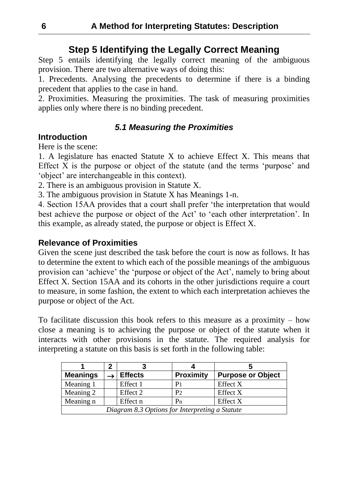## **Step 5 Identifying the Legally Correct Meaning**

Step 5 entails identifying the legally correct meaning of the ambiguous provision. There are two alternative ways of doing this:

1. Precedents. Analysing the precedents to determine if there is a binding precedent that applies to the case in hand.

2. Proximities. Measuring the proximities. The task of measuring proximities applies only where there is no binding precedent.

### *5.1 Measuring the Proximities*

### **Introduction**

Here is the scene:

1. A legislature has enacted Statute X to achieve Effect X. This means that Effect X is the purpose or object of the statute (and the terms 'purpose' and 'object' are interchangeable in this context).

2. There is an ambiguous provision in Statute X.

3. The ambiguous provision in Statute X has Meanings 1-n.

4. Section 15AA provides that a court shall prefer 'the interpretation that would best achieve the purpose or object of the Act' to 'each other interpretation'. In this example, as already stated, the purpose or object is Effect X.

### **Relevance of Proximities**

Given the scene just described the task before the court is now as follows. It has to determine the extent to which each of the possible meanings of the ambiguous provision can 'achieve' the 'purpose or object of the Act', namely to bring about Effect X. Section 15AA and its cohorts in the other jurisdictions require a court to measure, in some fashion, the extent to which each interpretation achieves the purpose or object of the Act.

To facilitate discussion this book refers to this measure as a proximity  $-$  how close a meaning is to achieving the purpose or object of the statute when it interacts with other provisions in the statute. The required analysis for interpreting a statute on this basis is set forth in the following table:

| <b>Meanings</b>                                |  | <b>Effects</b> | <b>Proximity</b> | <b>Purpose or Object</b> |  |  |
|------------------------------------------------|--|----------------|------------------|--------------------------|--|--|
| Meaning 1                                      |  | Effect 1       | P <sub>1</sub>   | <b>Effect X</b>          |  |  |
| Meaning 2                                      |  | Effect 2       | P <sub>2</sub>   | <b>Effect X</b>          |  |  |
| Meaning n                                      |  | Effect n       | P <sub>n</sub>   | <b>Effect X</b>          |  |  |
| Diagram 8.3 Options for Interpreting a Statute |  |                |                  |                          |  |  |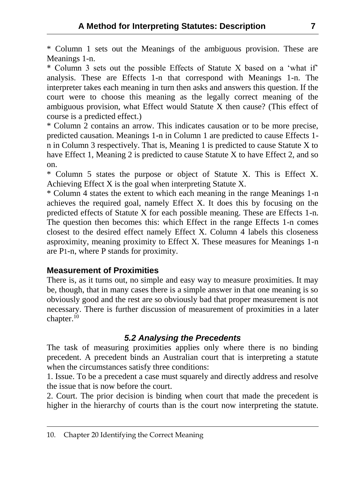\* Column 1 sets out the Meanings of the ambiguous provision. These are Meanings 1-n.

\* Column 3 sets out the possible Effects of Statute X based on a 'what if' analysis. These are Effects 1-n that correspond with Meanings 1-n. The interpreter takes each meaning in turn then asks and answers this question. If the court were to choose this meaning as the legally correct meaning of the ambiguous provision, what Effect would Statute X then cause? (This effect of course is a predicted effect.)

\* Column 2 contains an arrow. This indicates causation or to be more precise, predicted causation. Meanings 1-n in Column 1 are predicted to cause Effects 1 n in Column 3 respectively. That is, Meaning 1 is predicted to cause Statute X to have Effect 1, Meaning 2 is predicted to cause Statute X to have Effect 2, and so on.

\* Column 5 states the purpose or object of Statute X. This is Effect X. Achieving Effect X is the goal when interpreting Statute X.

\* Column 4 states the extent to which each meaning in the range Meanings 1-n achieves the required goal, namely Effect X. It does this by focusing on the predicted effects of Statute X for each possible meaning. These are Effects 1-n. The question then becomes this: which Effect in the range Effects 1-n comes closest to the desired effect namely Effect X. Column 4 labels this closeness asproximity, meaning proximity to Effect X. These measures for Meanings 1-n are P1-n, where P stands for proximity.

### **Measurement of Proximities**

There is, as it turns out, no simple and easy way to measure proximities. It may be, though, that in many cases there is a simple answer in that one meaning is so obviously good and the rest are so obviously bad that proper measurement is not necessary. There is further discussion of measurement of proximities in a later chapter.<sup>10</sup>

#### *5.2 Analysing the Precedents*

The task of measuring proximities applies only where there is no binding precedent. A precedent binds an Australian court that is interpreting a statute when the circumstances satisfy three conditions:

1. Issue. To be a precedent a case must squarely and directly address and resolve the issue that is now before the court.

2. Court. The prior decision is binding when court that made the precedent is higher in the hierarchy of courts than is the court now interpreting the statute.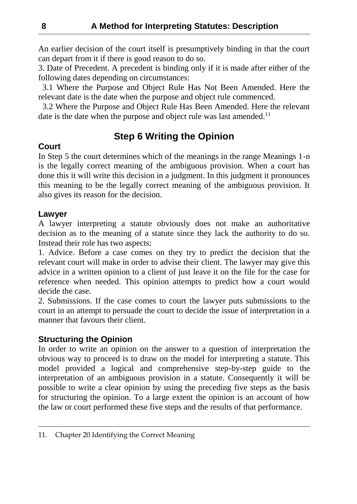An earlier decision of the court itself is presumptively binding in that the court can depart from it if there is good reason to do so.

3. Date of Precedent. A precedent is binding only if it is made after either of the following dates depending on circumstances:

 3.1 Where the Purpose and Object Rule Has Not Been Amended. Here the relevant date is the date when the purpose and object rule commenced.

 3.2 Where the Purpose and Object Rule Has Been Amended. Here the relevant date is the date when the purpose and object rule was last amended.<sup>11</sup>

## **Step 6 Writing the Opinion**

### **Court**

In Step 5 the court determines which of the meanings in the range Meanings 1-n is the legally correct meaning of the ambiguous provision. When a court has done this it will write this decision in a judgment. In this judgment it pronounces this meaning to be the legally correct meaning of the ambiguous provision. It also gives its reason for the decision.

### **Lawyer**

A lawyer interpreting a statute obviously does not make an authoritative decision as to the meaning of a statute since they lack the authority to do so. Instead their role has two aspects:

1. Advice. Before a case comes on they try to predict the decision that the relevant court will make in order to advise their client. The lawyer may give this advice in a written opinion to a client of just leave it on the file for the case for reference when needed. This opinion attempts to predict how a court would decide the case.

2. Submissions. If the case comes to court the lawyer puts submissions to the court in an attempt to persuade the court to decide the issue of interpretation in a manner that favours their client.

### **Structuring the Opinion**

In order to write an opinion on the answer to a question of interpretation the obvious way to proceed is to draw on the model for interpreting a statute. This model provided a logical and comprehensive step-by-step guide to the interpretation of an ambiguous provision in a statute. Consequently it will be possible to write a clear opinion by using the preceding five steps as the basis for structuring the opinion. To a large extent the opinion is an account of how the law or court performed these five steps and the results of that performance.